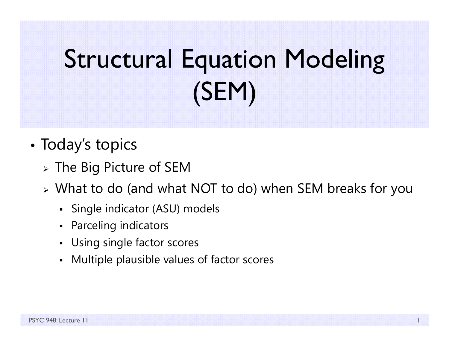# Structural Equation Modeling (SEM)

- •• Today's topics
	- $\triangleright$  The Big Picture of SEM
	- What to do (and what NOT to do) when SEM breaks for you
		- Single indicator (ASU) models
		- Parceling indicators
		- Using single factor scores
		- Multiple plausible values of factor scores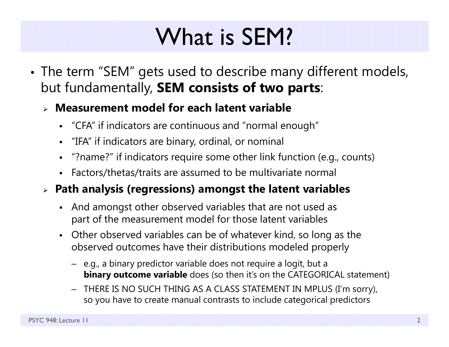### What is SEM?

• The term "SEM" gets used to describe many different models, but fundamentally, **SEM consists of two parts**:

### **Measurement model for each latent variable**

- "CFA" if indicators are continuous and "normal enough"
- "IFA" if indicators are binary, ordinal, or nominal
- "?name?" if indicators require some other link function (e.g., counts)
- Factors/thetas/traits are assumed to be multivariate normal

### **Path analysis (regressions) amongst the latent variables**

- $\blacksquare$  And amongst other observed variables that are not used as part of the measurement model for those latent variables
- Other observed variables can be of whatever kind, so long as the observed outcomes have their distributions modeled properly
	- e.g., a binary predictor variable does not require a logit, but a **binary outcome variable** does (so then it's on the CATEGORICAL statement)
	- THERE IS NO SUCH THING AS A CLASS STATEMENT IN MPLUS (I'm sorry), so you have to create manual contrasts to include categorical predictors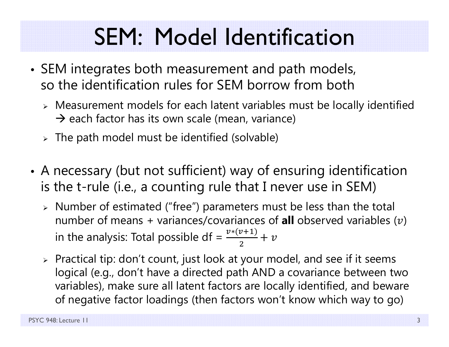## SEM: Model Identification

- SEM integrates both measurement and path models, so the identification rules for SEM borrow from both
	- $\triangleright$  Measurement models for each latent variables must be locally identified  $\rightarrow$  each factor has its own scale (mean, variance)
	- $\triangleright$  The path model must be identified (solvable)
- • A necessary (but not sufficient) way of ensuring identification is the t-rule (i.e., a counting rule that I never use in SEM)
	- Number of estimated ("free") parameters must be less than the total number of means + variances/covariances of **all** observed variables ( $v$ ) in the analysis: Total possible df =  $\frac{v*(v+1)}{2}$  $+ \; \nu$
	- $\triangleright$  Practical tip: don't count, just look at your model, and see if it seems  $\blacksquare$ logical (e.g., don't have a directed path AND a covariance between two variables), make sure all latent factors are locally identified, and beware of negative factor loadings (then factors won't know which way to go)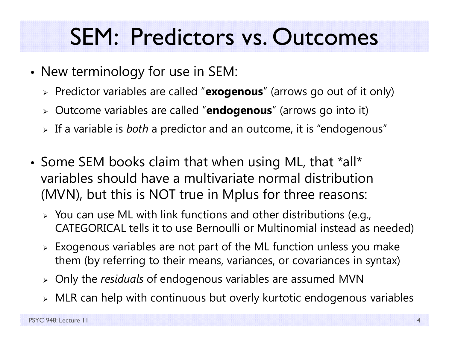### SEM: Predictors vs. Outcomes

- • $\bullet\,$  New terminology for use in SEM:
	- Predictor variables are called "**exogenous**" (arrows go out of it only)
	- Outcome variables are called "**endogenous**" (arrows go into it)
	- If a variable is *both* a predictor and an outcome, it is "endogenous"
- Some SEM books claim that when using ML, that \*all\* variables should have a multivariate normal distribution (MVN), but this is NOT true in Mplus for three reasons:
	- $\triangleright$  You can use ML with link functions and other distributions (e.g., CATEGORICAL tells it to use Bernoulli or Multinomial instead as needed)
	- $\triangleright$  Exogenous variables are not part of the ML function unless you make them (by referring to their means, variances, or covariances in syntax)
	- Only the *residuals* of endogenous variables are assumed MVN
	- $\triangleright$   $\,$  MLR can help with continuous but overly kurtotic endogenous variables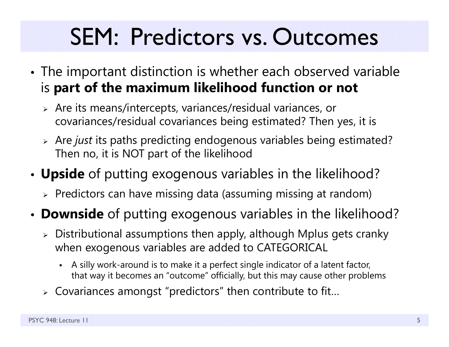## SEM: Predictors vs. Outcomes

- The important distinction is whether each observed variable is **part of the maximum likelihood function or not**
	- Are its means/intercepts, variances/residual variances, or covariances/residual covariances being estimated? Then yes, it is
	- Are *just* its paths predicting endogenous variables being estimated? Then no, it is NOT part of the likelihood
- • **Upside** of putting exogenous variables in the likelihood?
	- $\triangleright$  Predictors can have missing data (assuming missing at random)
- **Downside** of putting exogenous variables in the likelihood?
	- $\triangleright$  Distributional assumptions then apply, although Mplus gets cranky  $\blacksquare$ when exogenous variables are added to CATEGORICAL
		- n A silly work-around is to make it a perfect single indicator of a latent factor, that way it becomes an "outcome" officially, but this may cause other problems
	- $\triangleright$  Covariances amongst "predictors" then contribute to fit...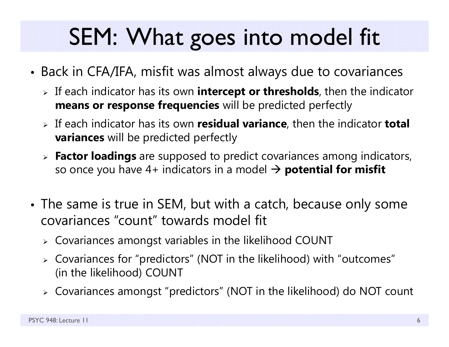## SEM: What goes into model fit

- • Back in CFA/IFA, misfit was almost always due to covariances
	- If each indicator has its own **intercept or thresholds**, then the indicator **means or response frequencies** will be predicted perfectly
	- If each indicator has its own **residual variance**, then the indicator **total variances** will be predicted perfectly
	- **Factor loadings** are supposed to predict covariances among indicators, so once you have 4+ indicators in a model **potential for misfit**
- The same is true in SEM, but with a catch, because only some covariances "count" towards model fit
	- $\triangleright$  Covariances amongst variables in the likelihood COUNT
	- Covariances for "predictors" (NOT in the likelihood) with "outcomes" (in the likelihood) COUNT
	- Covariances amongst "predictors" (NOT in the likelihood) do NOT count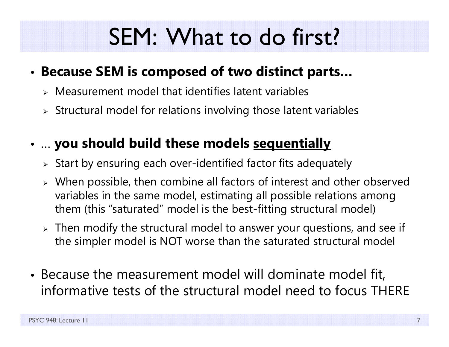### SEM: What to do first?

#### •**Because SEM is composed of two distinct parts…**

- Measurement model that identifies latent variables
- $\triangleright$  Structural model for relations involving those latent variables

### • … **you should build these models sequentially**

- $\triangleright$  Start by ensuring each over-identified factor fits adequately
- $\triangleright$  When possible, then combine all factors of interest and other observed variables in the same model, estimating all possible relations among them (this "saturated" model is the best-fitting structural model)
- $\triangleright$  Then modify the structural model to answer your questions, and see if the simpler model is NOT worse than the saturated structural model
- Because the measurement model will dominate model fit, informative tests of the structural model need to focus THERE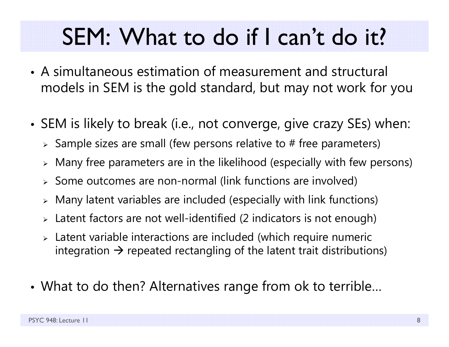### SEM: What to do if I can't do it?

- A simultaneous estimation of measurement and structural models in SEM is the gold standard, but may not work for you
- SEM is likely to break (i.e., not converge, give crazy SEs) when:
	- $\triangleright$  Sample sizes are small (few persons relative to # free parameters)
	- $\triangleright$  Many free parameters are in the likelihood (especially with few persons)
	- $\triangleright$  Some outcomes are non-normal (link functions are involved)
	- $\triangleright$  Many latent variables are included (especially with link functions)
	- $\triangleright$  Latent factors are not well-identified (2 indicators is not enough)
	- Latent variable interactions are included (which require numeric integration  $\bm{\rightarrow}$  repeated rectangling of the latent trait distributions)
- •What to do then? Alternatives range from ok to terrible…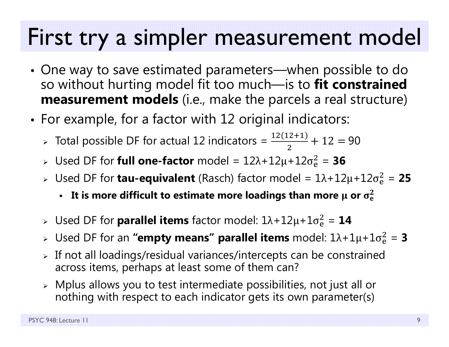### First try a simpler measurement model

- One way to save estimated parameters—when possible to do so without hurting model fit too much—is to **fit constrained measurement models** (i.e., make the parcels a real structure)
- • $\bullet\,$  For example, for a factor with  $12$  original indicators:
	- > Total possible DF for actual 12 indicators =  $\frac{12(12+1)}{2}$  $+\ 12 = 90$
	- » Used DF for **full one-factor** model =  $12\lambda + 12\mu + 12\sigma_e^2$  $\frac{2}{9}$  = 36
	- » Used DF for **tau-equivalent** (Rasch) factor model = 1λ+12μ+12σ<sup>2</sup>e  $\frac{2}{9}$  = 25
		- It is more difficult to estimate more loadings than more μ or  $\sigma_{\rm e}^2$  $\mathbf 2$
	- » Used DF for **parallel items** factor model: 1λ+12μ+1σ<sup>2</sup>  $\frac{2}{6}$  = 14
	- » Used DF for an **"empty means" parallel items** model: 1λ+1μ+1σ<sup>2</sup>  $^{2}_{6}$  = 3
	- $\triangleright$  If not all loadings/residual variances/intercepts can be constrained across items, perhaps at least some of them can?
	- $\triangleright$  Mplus allows you to test intermediate possibilities, not just all or nothing with respect to each indicator gets its own parameter(s)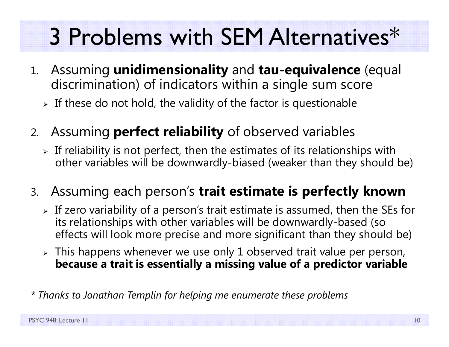## 3 Problems with SEM Alternatives\*

- 1. Assuming **unidimensionality** and **tau-equivalence** (equal discrimination) of indicators within a single sum score
	- $\triangleright$  If these do not hold, the validity of the factor is questionable
- 2. Assuming **perfect reliability** of observed variables
	- $\triangleright$  If reliability is not perfect, then the estimates of its relationships with other variables will be downwardly-biased (weaker than they should be)
- 3. Assuming each person's **trait estimate is perfectly known**
	- $\triangleright$  If zero variability of a person's trait estimate is assumed, then the SEs for its relationships with other variables will be downwardly-based (so effects will look more precise and more significant than they should be)
	- $\triangleright$  This happens whenever we use only 1 observed trait value per person, **because a trait is essentially a missing value of a predictor variable**
- *\* Thanks to Jonathan Templin for helping me enumerate these problems*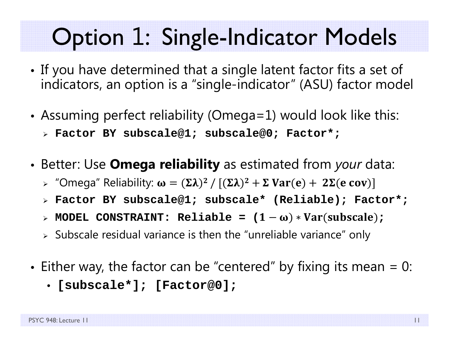### Option 1: Single-Indicator Models

- • If you have determined that a single latent factor fits a set of indicators, an option is a "single-indicator" (ASU) factor model
- • Assuming perfect reliability (Omega=1) would look like this:
	- **Factor BY subscale@1; subscale@0; Factor\*;**
- • Better: Use **Omega reliability** as estimated from *your* data:
	- » "Omega" Reliability:  $\boldsymbol{\omega} = (\boldsymbol{\Sigma} \boldsymbol{\lambda})^2 \, / \, [(\boldsymbol{\Sigma} \boldsymbol{\lambda})^2 + \boldsymbol{\Sigma} \, \textbf{Var}(\mathbf{e}) + \, \, 2 \boldsymbol{\Sigma}(\mathbf{e} \; \mathbf{cov}) ]$
	- **Factor BY subscale@1; subscale\* (Reliable); Factor\*;**
	- » MODEL CONSTRAINT: Reliable = (1−ω)∗Var(subscale);
	- $\triangleright$  Subscale residual variance is then the "unreliable variance" only
- •• Either way, the factor can be "centered" by fixing its mean  $= 0$ :
	- **[subscale\*]; [Factor@0];**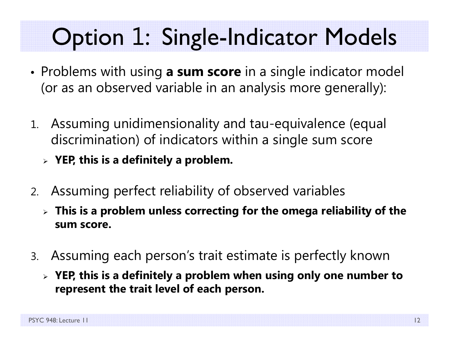## Option 1: Single-Indicator Models

- Problems with using **a sum score** in a single indicator model (or as an observed variable in an analysis more generally):
- 1. Assuming unidimensionality and tau-equivalence (equal discrimination) of indicators within a single sum score
	- **YEP, this is a definitely a problem.**
- 2. Assuming perfect reliability of observed variables
	- **This is a problem unless correcting for the omega reliability of the sum score.**
- 3. Assuming each person's trait estimate is perfectly known
	- **YEP, this is a definitely a problem when using only one number to represent the trait level of each person.**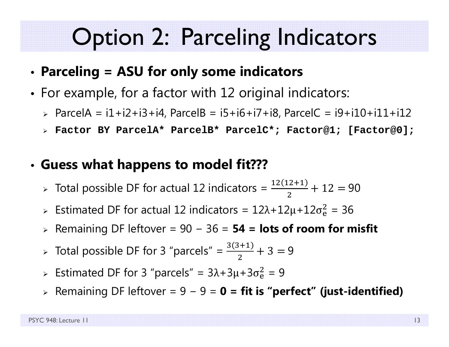### Option 2: Parceling Indicators

#### •**Parceling = ASU for only some indicators**

- • $\bullet\,$  For example, for a factor with  $12$  original indicators:
	- ParcelA = i1+i2+i3+i4, ParcelB = i5+i6+i7+i8, ParcelC = i9+i10+i11+i12
	- **Factor BY ParcelA\* ParcelB\* ParcelC\*; Factor@1; [Factor@0];**

#### •**Guess what happens to model fit???**

- > Total possible DF for actual 12 indicators =  $\frac{12(12+1)}{2}$  $+\ 12 = 90$
- > Estimated DF for actual 12 indicators =  $12\lambda + 12\mu + 12\sigma_e^2$  $\frac{2}{9}$  = 36
- Remaining DF leftover = 90 − 36 = **54 = lots of room for misfit**
- > Total possible DF for 3 "parcels" =  $\frac{3(3+1)}{2}$ 2  $+3=9$
- > Estimated DF for 3 "parcels" =  $3\lambda + 3\mu + 3\sigma_e^2$  $^{2}_{6}$  = 9
- Remaining DF leftover = 9 <sup>−</sup> 9 = **0 = fit is "perfect" (just-identified)**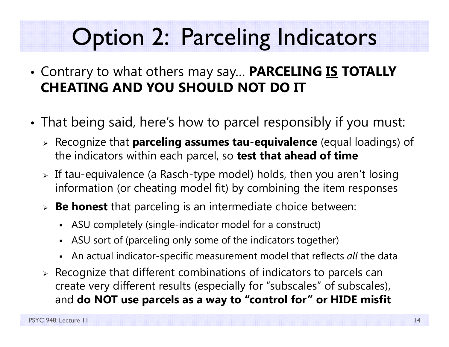### Option 2: Parceling Indicators

- Contrary to what others may say… **PARCELING IS TOTALLY CHEATING AND YOU SHOULD NOT DO IT**
- • That being said, here's how to parcel responsibly if you must:
	- Recognize that **parceling assumes tau-equivalence** (equal loadings) of the indicators within each parcel, so **test that ahead of time**
	- $\triangleright$  If tau-equivalence (a Rasch-type model) holds, then you aren't losing  $\blacksquare$ information (or cheating model fit) by combining the item responses
	- **Be honest** that parceling is an intermediate choice between:
		- ASU completely (single-indicator model for a construct)
		- ASU sort of (parceling only some of the indicators together)
		- An actual indicator-specific measurement model that reflects *all* the data
	- $\triangleright$  Recognize that different combinations of indicators to parcels can create very different results (especially for "subscales" of subscales), and **do NOT use parcels as a way to "control for" or HIDE misfit**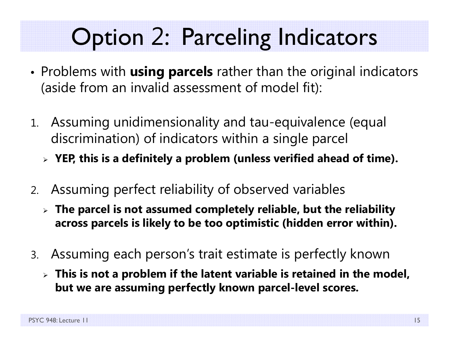### Option 2: Parceling Indicators

- Problems with **using parcels** rather than the original indicators (aside from an invalid assessment of model fit):
- 1. Assuming unidimensionality and tau-equivalence (equal discrimination) of indicators within a single parcel
	- **YEP, this is a definitely a problem (unless verified ahead of time).**
- 2. Assuming perfect reliability of observed variables
	- **The parcel is not assumed completely reliable, but the reliability across parcels is likely to be too optimistic (hidden error within).**
- 3. Assuming each person's trait estimate is perfectly known
	- **This is not a problem if the latent variable is retained in the model, but we are assuming perfectly known parcel-level scores.**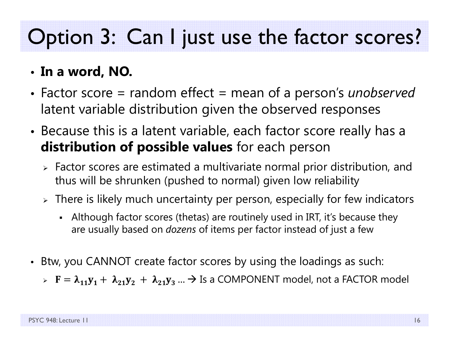### Option 3: Can I just use the factor scores?

### • **In a word, NO.**

- • Factor score = random effect = mean of a person's *unobserved* latent variable distribution given the observed responses
- • Because this is a latent variable, each factor score really has a **distribution of possible values** for each person
	- $\triangleright$  Factor scores are estimated a multivariate normal prior distribution, and thus will be shrunken (pushed to normal) given low reliability
	- $\triangleright$  There is likely much uncertainty per person, especially for few indicators
		- Although factor scores (thetas) are routinely used in IRT, it's because they are usually based on *dozens* of items per factor instead of just a few
- Btw, you CANNOT create factor scores by using the loadings as such:
	- $\triangleright$   $\mathbf{F} = \boldsymbol{\lambda}_{11} \mathbf{y}_1 + \boldsymbol{\lambda}_{21} \mathbf{y}_2 + \boldsymbol{\lambda}_{21} \mathbf{y}_3 ... \boldsymbol{\rightarrow}$  Is a COMPONENT model, not a FACTOR model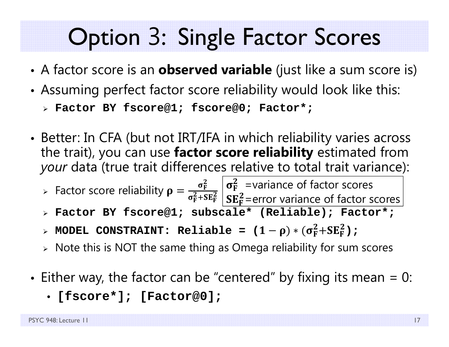### Option 3: Single Factor Scores

- •A factor score is an **observed variable** (just like a sum score is)
- •Assuming perfect factor score reliability would look like this:

```
 Factor BY fscore@1; fscore@0; Factor*;
```
• Better: In CFA (but not IRT/IFA in which reliability varies across the trait), you can use **factor score reliability** estimated from *your* data (true trait differences relative to total trait variance):

▶ Factor score reliability 
$$
\rho = \frac{\sigma_F^2}{\sigma_F^2 + SE_F^2} \left| \frac{\sigma_F^2}{SE_F^2}\right| = \frac{V^2}{SE_F^2}
$$
 = error variance of factor scores

- **Factor BY fscore@1; subscale\* (Reliable); Factor\*;**
- $>$  MODEL CONSTRAINT: Reliable = ( $1-\rho$ ) $\ast$  ( $\sigma_{\rm F}^2{\rm +SE}_{\rm F}^2$ );
- $\triangleright$  Note this is NOT the same thing as Omega reliability for sum scores
- • $\bullet\,$  Either way, the factor can be "centered" by fixing its mean = 0:
	- **[fscore\*]; [Factor@0];**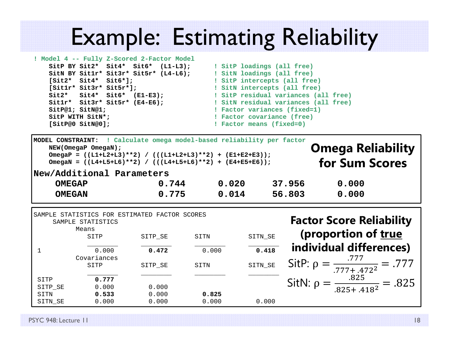### Example: Estimating Reliability

```
! Model 4 -- Fully Z-Scored 2
-
Fac
tor Model
   SitP BY Sit2* Sit4* Sit6* (L1-L3); ! SitP loadings (all free) 
   SitN BY Sit1r* Sit3r* Sit5r* (L4-L6); ! SitN loadings (all free)
   [Sit2* Sit4* Sit6*]; ! SitP intercepts (all free) 
   [Sit1r* Sit3r* Sit5r*]; ! SitN intercepts (all free)
   Sit2* Sit4* Sit6* (E1-E3); ! SitP residual variances (all free)
   Sit1r* Sit3r* Sit5r* (E4-E6); ! SitN residual variances (all free)
   SitP@1; SitN@1; ! Factor variances (fixed=1)
  SitP WITH SitN*; \qquad \qquad Factor covariance (free)
   [SitP@0 SitN@0]; ! Factor means (fixed=0)
```

| ! Calculate omega model-based reliability per factor<br>MODEL CONSTRAINT:<br><b>Omega Reliability</b><br>NEW (OmegaP OmegaN);<br>OmegaP = $((L1+L2+L3)**2) / (((L1+L2+L3)**2) + (E1+E2+E3));$<br>for Sum Scores<br>OmegaN = $((L4+L5+L6)*2) / ((L4+L5+L6)*2) + (E4+E5+E6))$ ;<br>New/Additional Parameters |                                    |         |                                                       |         |         |                                                        |
|------------------------------------------------------------------------------------------------------------------------------------------------------------------------------------------------------------------------------------------------------------------------------------------------------------|------------------------------------|---------|-------------------------------------------------------|---------|---------|--------------------------------------------------------|
| <b>OMEGAP</b><br><b>OMEGAN</b>                                                                                                                                                                                                                                                                             |                                    | 0.744   |                                                       | 0.020   |         | 37.956<br>0.000                                        |
|                                                                                                                                                                                                                                                                                                            |                                    | 0.775   |                                                       | 0.014   | 56.803  | 0.000                                                  |
|                                                                                                                                                                                                                                                                                                            | SAMPLE STATISTICS<br>Means<br>SITP | SITP_SE | SAMPLE STATISTICS FOR ESTIMATED FACTOR SCORES<br>SITN |         | SITN_SE | <b>Factor Score Reliability</b><br>(proportion of true |
| $\mathbf{1}$                                                                                                                                                                                                                                                                                               | 0.000                              | 0.472   | 0.000                                                 |         | 0.418   | individual differences)                                |
|                                                                                                                                                                                                                                                                                                            | Covariances<br>SITP                | SITP_SE | SITN                                                  | SITN_SE |         | SitP: $\rho = \frac{.777}{.777 + .472^2} = .777$       |
| SITP                                                                                                                                                                                                                                                                                                       | 0.777                              |         |                                                       |         |         | SitN: $\rho = \frac{.825}{.825 + .418^2} = .825$       |
| SITP SE                                                                                                                                                                                                                                                                                                    | 0.000                              | 0.000   |                                                       |         |         |                                                        |
| SITN                                                                                                                                                                                                                                                                                                       | 0.533                              | 0.000   | 0.825                                                 |         |         |                                                        |
| SITN_SE                                                                                                                                                                                                                                                                                                    | 0.000                              | 0.000   | 0.000                                                 |         | 0.000   |                                                        |

PSYC 948: Lecture 11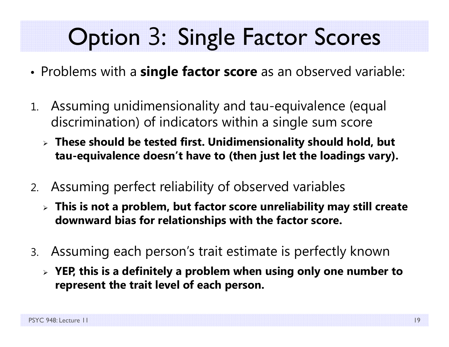## Option 3: Single Factor Scores

- •Problems with a **single factor score** as an observed variable:
- 1. Assuming unidimensionality and tau-equivalence (equal discrimination) of indicators within a single sum score
	- **These should be tested first. Unidimensionality should hold, but tau-equivalence doesn't have to (then just let the loadings vary).**
- 2. Assuming perfect reliability of observed variables
	- **This is not a problem, but factor score unreliability may still create downward bias for relationships with the factor score.**
- 3. Assuming each person's trait estimate is perfectly known
	- **YEP, this is a definitely a problem when using only one number to represent the trait level of each person.**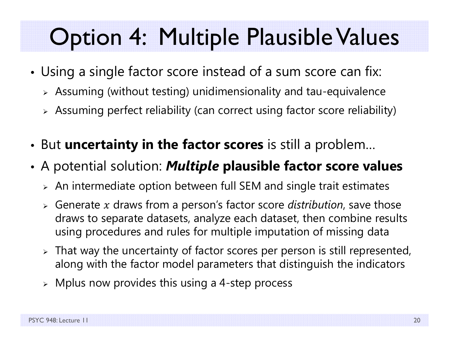### Option 4: Multiple Plausible Values

- • Using a single factor score instead of a sum score can fix:
	- $\triangleright$  Assuming (without testing) unidimensionality and tau-equivalence
	- $\triangleright$  Assuming perfect reliability (can correct using factor score reliability)
- •But **uncertainty in the factor scores** is still a problem…
- • A potential solution: *Multiple* **plausible factor score values**
	- $\triangleright$  An intermediate option between full SEM and single trait estimates
	- $\triangleright$  Generate  $x$  draws from a person's factor score *distribution*, save those draws to separate datasets, analyze each dataset, then combine results using procedures and rules for multiple imputation of missing data
	- $\triangleright$  That way the uncertainty of factor scores per person is still represented, along with the factor model parameters that distinguish the indicators
	- $\triangleright$  Mplus now provides this using a 4-step process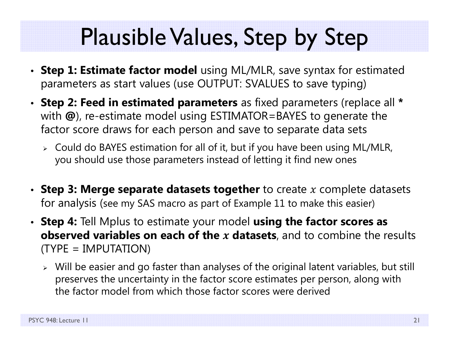### Plausible Values, Step by Step

- **Step 1: Estimate factor model** using ML/MLR, save syntax for estimated parameters as start values (use OUTPUT: SVALUES to save typing)
- **Step 2: Feed in estimated parameters** as fixed parameters (replace all **\***with **@**), re-estimate model using ESTIMATOR=BAYES to generate the factor score draws for each person and save to separate data sets
	- Could do BAYES estimation for all of it, but if you have been using ML/MLR, you should use those parameters instead of letting it find new ones
- **Step 3: Merge separate datasets together** to create x complete datasets for analysis (see my SAS macro as part of Example 11 to make this easier)
- **Step 4:** Tell Mplus to estimate your model **using the factor scores as observed variables on each of the x datasets**, and to combine the results (TYPE = IMPUTATION)
	- Will be easier and go faster than analyses of the original latent variables, but still preserves the uncertainty in the factor score estimates per person, along with the factor model from which those factor scores were derived